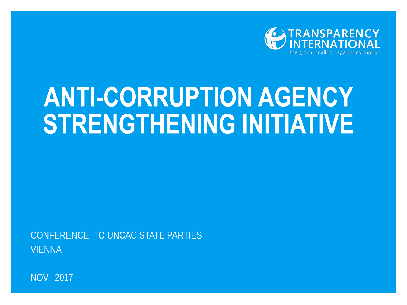

## **ANTI-CORRUPTION AGENCY STRENGTHENING INITIATIVE**

CONFERENCE TO UNCAC STATE PARTIES VIENNA

NOV. 2017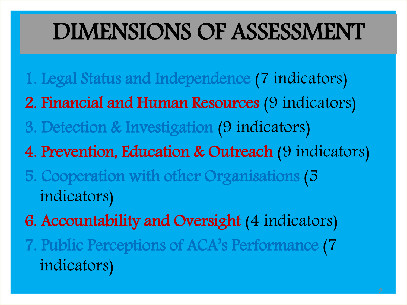## DIMENSIONS OF ASSESSMENT

1. Legal Status and Independence (7 indicators) 2. Financial and Human Resources (9 indicators) 3. Detection & Investigation (9 indicators) 4. Prevention, Education & Outreach (9 indicators) 5. Cooperation with other Organisations (5 indicators) 6. Accountability and Oversight (4 indicators) 7. Public Perceptions of ACA's Performance (7 indicators)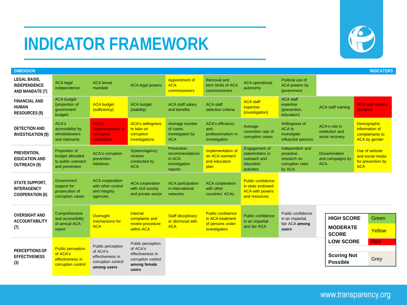## **INDICATOR FRAMEWORK**



| <b>DIMENSION</b><br><b>INDICATORS</b>                                 |                                                                                |                                                                                        |                                                                                                  |                                                                            |                                                                                   |                                                                                         |                                                                           |                                                           |                                                                                 |
|-----------------------------------------------------------------------|--------------------------------------------------------------------------------|----------------------------------------------------------------------------------------|--------------------------------------------------------------------------------------------------|----------------------------------------------------------------------------|-----------------------------------------------------------------------------------|-----------------------------------------------------------------------------------------|---------------------------------------------------------------------------|-----------------------------------------------------------|---------------------------------------------------------------------------------|
| LEGAL BASIS,<br><b>INDEPENDENCE</b><br>AND MANDATE (7)                | <b>ACA</b> legal<br>independence                                               | <b>ACA</b> broad<br>mandate                                                            | <b>ACA legal powers</b>                                                                          | <b>Appointment of</b><br><b>ACA</b><br>commissioners                       | <b>Removal and</b><br>term limits of ACA<br>commissioners                         | <b>ACA</b> operational<br>autonomy                                                      | Political use of<br>ACA powers by<br>qovernment                           |                                                           |                                                                                 |
| <b>FINANCIAL AND</b><br><b>HUMAN</b><br><b>RESOURCES (9)</b>          | <b>ACA budget</b><br>(proportion of<br>government<br>budget)                   | <b>ACA budget</b><br>(sufficiency)                                                     | <b>ACA budget</b><br>(stability)                                                                 | <b>ACA staff salary</b><br>and benefits                                    | <b>ACA staff</b><br>selection criteria                                            | <b>ACA staff</b><br>expertise<br>(investigation)                                        | <b>ACA staff</b><br>expertise<br>(prevention,<br>education)               | <b>ACA staff training</b>                                 | <b>ACA staff stability</b><br>(attrition)                                       |
| <b>DETECTION AND</b><br><b>INVESTIGATION (9)</b>                      | ACA's<br>accessibility by<br>whistleblowers<br>and claimants                   | <b>ACA's</b><br>responsiveness to<br>corruption<br>complaints                          | <b>ACA's willingness</b><br>to take on<br>corruption<br>investigations                           | Average number<br>of cases<br>investigated by<br><b>ACA</b>                | <b>ACA's efficiency</b><br>and<br>professionalism in<br>investigation             | Average<br>conviction rate of<br>corruption cases                                       | Willingness of<br>ACA to<br>investigate<br>influential persons            | ACA's role in<br>restitution and<br>asset recovery        | <b>Demographic</b><br>information of<br>complainants to<br><b>ACA by gender</b> |
| PREVENTION,<br><b>EDUCATION AND</b><br>OUTREACH (9)                   | Proportion of<br>budget allocated<br>to public outreach<br>and prevention      | <b>ACA's corruption</b><br>prevention<br>initiatives                                   | System/agency<br>reviews<br>conducted by<br><b>ACA</b>                                           | <b>Prevention</b><br>recommendations<br>in ACA<br>investigation<br>reports | Implementation of<br>an ACA outreach<br>and education<br>plan                     | Engagement of<br>stakeholders in<br>outreach and<br>education<br>activities             | Independent and<br>proactive<br>research on<br>corruption risks<br>by ACA | <b>Dissemination</b><br>and campaigns by<br><b>ACA</b>    | Use of website<br>and social media<br>for prevention by<br><b>ACA</b>           |
| <b>STATE SUPPORT.</b><br><b>INTERAGENCY</b><br><b>COOPERATION (6)</b> | Government<br>support for<br>prosecution of<br>corruption cases                | <b>ACA</b> cooperation<br>with other control<br>and integrity<br>agencies              | <b>ACA</b> cooperation<br>with civil society<br>and private sector                               | <b>ACA</b> participation<br>in international<br>networks                   | <b>ACA</b> cooperation<br>with other<br>countries' ACAs                           | <b>Public confidence</b><br>in state endowed<br><b>ACA with powers</b><br>and resources |                                                                           |                                                           |                                                                                 |
| <b>OVERSIGHT AND</b><br><b>ACCOUNTABILITY</b><br>(7)                  | Comprehensive<br>and accessibility<br>of annual ACA<br>report                  | <b>Oversight</b><br>mechanisms for<br><b>ACA</b>                                       | Internal<br>complaints and<br>review procedure<br>within ACA                                     | <b>Staff disciplinary</b><br>or dismissal with<br><b>ACA</b>               | <b>Public confidence</b><br>in ACA treatment<br>of persons under<br>investigation | Public confidence<br>in an impartial<br>and fair ACA                                    | Public confidence<br>in an impartial,<br>fair ACA among<br>users          | <b>HIGH SCORE</b><br><b>MODERATE</b><br><b>SCORE</b>      | Green<br>Yellow                                                                 |
| <b>PERCEPTIONS OF</b><br><b>EFFECTIVENESS</b><br>(3)                  | <b>Public perception</b><br>of ACA's<br>effectiveness in<br>corruption control | Public perception<br>of ACA's<br>effectiveness in<br>corruption control<br>among users | Public perception<br>of ACA's<br>effectiveness in<br>corruption control<br>among female<br>users |                                                                            |                                                                                   |                                                                                         |                                                                           | <b>LOW SCORE</b><br><b>Scoring Not</b><br><b>Possible</b> | <b>Red</b><br>Grey                                                              |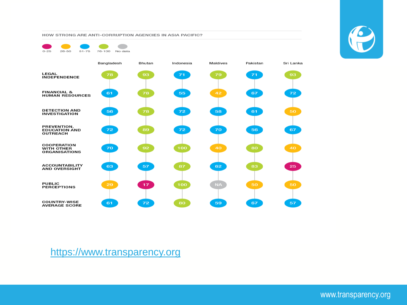HOW STRONG ARE ANTI-CORRUPTION AGENCIES IN ASIA PACIFIC?





[https://www.transparency.org](https://www.transparency.org/)



www.transparency.org